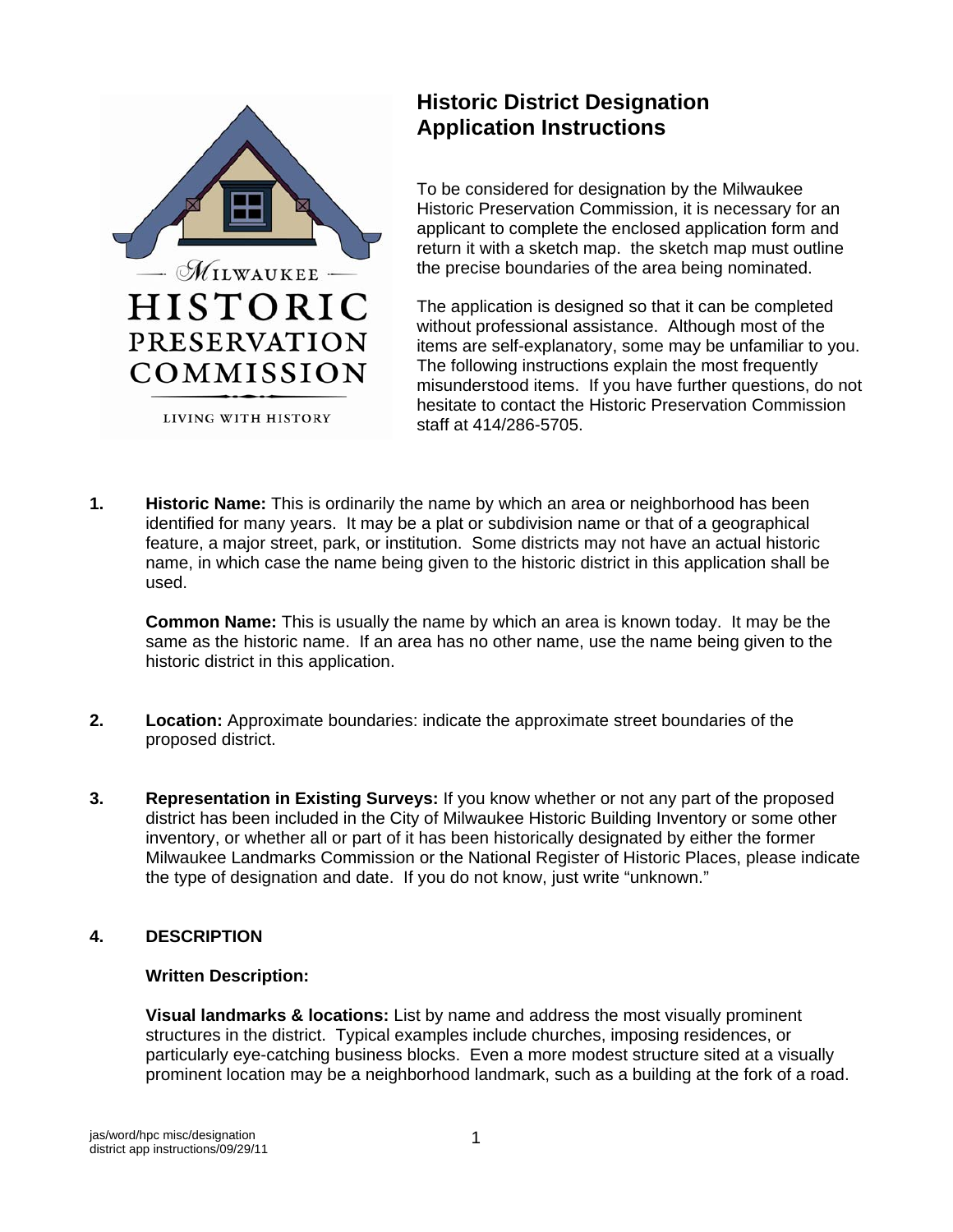

# **Historic District Designation Application Instructions**

To be considered for designation by the Milwaukee Historic Preservation Commission, it is necessary for an applicant to complete the enclosed application form and return it with a sketch map. the sketch map must outline the precise boundaries of the area being nominated.

The application is designed so that it can be completed without professional assistance. Although most of the items are self-explanatory, some may be unfamiliar to you. The following instructions explain the most frequently misunderstood items. If you have further questions, do not hesitate to contact the Historic Preservation Commission staff at 414/286-5705.

**1. Historic Name:** This is ordinarily the name by which an area or neighborhood has been identified for many years. It may be a plat or subdivision name or that of a geographical feature, a major street, park, or institution. Some districts may not have an actual historic name, in which case the name being given to the historic district in this application shall be used.

**Common Name:** This is usually the name by which an area is known today. It may be the same as the historic name. If an area has no other name, use the name being given to the historic district in this application.

- **2. Location:** Approximate boundaries: indicate the approximate street boundaries of the proposed district.
- **3. Representation in Existing Surveys:** If you know whether or not any part of the proposed district has been included in the City of Milwaukee Historic Building Inventory or some other inventory, or whether all or part of it has been historically designated by either the former Milwaukee Landmarks Commission or the National Register of Historic Places, please indicate the type of designation and date. If you do not know, just write "unknown."

## **4. DESCRIPTION**

## **Written Description:**

**Visual landmarks & locations:** List by name and address the most visually prominent structures in the district. Typical examples include churches, imposing residences, or particularly eye-catching business blocks. Even a more modest structure sited at a visually prominent location may be a neighborhood landmark, such as a building at the fork of a road.